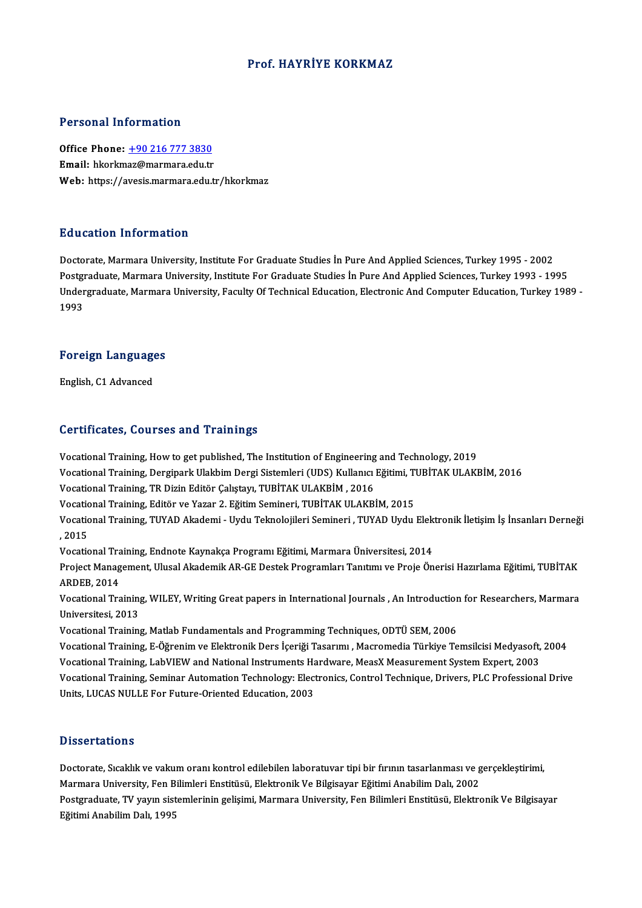#### Prof.HAYRİYE KORKMAZ

#### Personal Information

Office Phone: +90 216 777 3830 Email: hkorkm[az@marmara.edu.tr](tel:+90 216 777 3830) Web: https://avesis.marmara.edu.tr/hkorkmaz

#### Education Information

Doctorate, Marmara University, Institute For Graduate Studies İn Pure And Applied Sciences, Turkey 1995 - 2002 Pu a sacron Throt Inacron<br>Doctorate, Marmara University, Institute For Graduate Studies İn Pure And Applied Sciences, Turkey 1995 - 2002<br>Undergraduate, Marmara University, Institute For Graduate Studies İn Pure And Applied Undergraduate, Marmara University, Faculty Of Technical Education, Electronic And Computer Education, Turkey 1989 -<br>1993 Postgi<br>Under<br>1993

## 1<sup>993</sup><br>Foreign Languages F<mark>oreign Languag</mark>e<br>English, C1 Advanced

# English, C1 Advanced<br>Certificates, Courses and Trainings

Vocational Training, How to get published, The Institution of Engineering and Technology, 2019 Vocational Training, How to get published, The Institution of Engineering and Technology, 2019<br>Vocational Training, Dergipark Ulakbim Dergi Sistemleri (UDS) Kullanıcı Eğitimi, TUBİTAK ULAKBİM, 2016<br>Vocational Training, TB Vocational Training, TR Dizin Editör Çalıştayı, TUBİTAK ULAKBİM, 2016<br>Vocational Training, Editör ve Yazar 2. Eğitim Semineri, TUBİTAK ULAKBİM, 2015 Vocational Training, Dergipark Ulakbim Dergi Sistemleri (UDS) Kullanıcı Eğitimi, T<br>Vocational Training, TR Dizin Editör Çalıştayı, TUBİTAK ULAKBİM , 2016<br>Vocational Training, Editör ve Yazar 2. Eğitim Semineri, TUBİTAK ULA Vocational Training, TR Dizin Editör Çalıştayı, TUBİTAK ULAKBİM , 2016<br>Vocational Training, Editör ve Yazar 2. Eğitim Semineri, TUBİTAK ULAKBİM, 2015<br>Vocational Training, TUYAD Akademi - Uydu Teknolojileri Semineri , TUYAD Vocatic<br>Vocatic<br>, 2015<br>Vocatic Vocational Training, TUYAD Akademi - Uydu Teknolojileri Semineri , TUYAD Uydu Elek<br>, 2015<br>Vocational Training, Endnote Kaynakça Programı Eğitimi, Marmara Üniversitesi, 2014<br>Preject Management, Ulucel Akademik AB CE Destak , 2015<br>Vocational Training, Endnote Kaynakça Programı Eğitimi, Marmara Üniversitesi, 2014<br>Project Management, Ulusal Akademik AR-GE Destek Programları Tanıtımı ve Proje Önerisi Hazırlama Eğitimi, TUBİTAK Vocational Tra<br>Project Manag<br>ARDEB, 2014<br>Vocational Tra Project Management, Ulusal Akademik AR-GE Destek Programları Tanıtımı ve Proje Önerisi Hazırlama Eğitimi, TUBİTAK<br>ARDEB, 2014<br>Vocational Training, WILEY, Writing Great papers in International Journals , An Introduction for ARDEB, 2014<br>Vocational Training, WILEY, Writing Great papers in International Journals , An Introduction for Researchers, Marmara<br>Universitesi, 2013 Universitesi, 2013<br>Vocational Training, Matlab Fundamentals and Programming Techniques, ODTÜ SEM, 2006<br>Vocational Training, E-Öğrenim ve Elektronik Ders İçeriği Tasarımı , Macromedia Türkiye Temsilcisi Medyasoft, 2004<br>Voca

Vocational Training, Matlab Fundamentals and Programming Techniques, ODTÜ SEM, 2006

Vocational Training, Matlab Fundamentals and Programming Techniques, ODTÜ SEM, 2006<br>Vocational Training, E-Öğrenim ve Elektronik Ders İçeriği Tasarımı , Macromedia Türkiye Temsilcisi Medyasoft,<br>Vocational Training, LabVIEW Vocational Training, Seminar Automation Technology: Electronics, Control Technique, Drivers, PLC Professional Drive<br>Units, LUCAS NULLE For Future-Oriented Education, 2003 Vocational Training, LabVIEW and National Instruments Hardware, MeasX Measurement System Expert, 2003

#### **Dissertations**

Doctorate, Sıcaklık ve vakum oranı kontrol edilebilen laboratuvar tipi bir fırının tasarlanması ve gerçekleştirimi, Masser cacrems<br>Doctorate, Sıcaklık ve vakum oranı kontrol edilebilen laboratuvar tipi bir fırının tasarlanması ve g<br>Marmara University, Fen Bilimleri Enstitüsü, Elektronik Ve Bilgisayar Eğitimi Anabilim Dalı, 2002<br>Postsrad Postgraduate, TV yayın sistemlerinin gelişimi, Marmara University, Fen Bilimleri Enstitüsü, Elektronik Ve Bilgisayar<br>Eğitimi Anabilim Dalı, 1995 Marmara University, Fen Bil<br>Postgraduate, TV yayın siste<br>Eğitimi Anabilim Dalı, 1995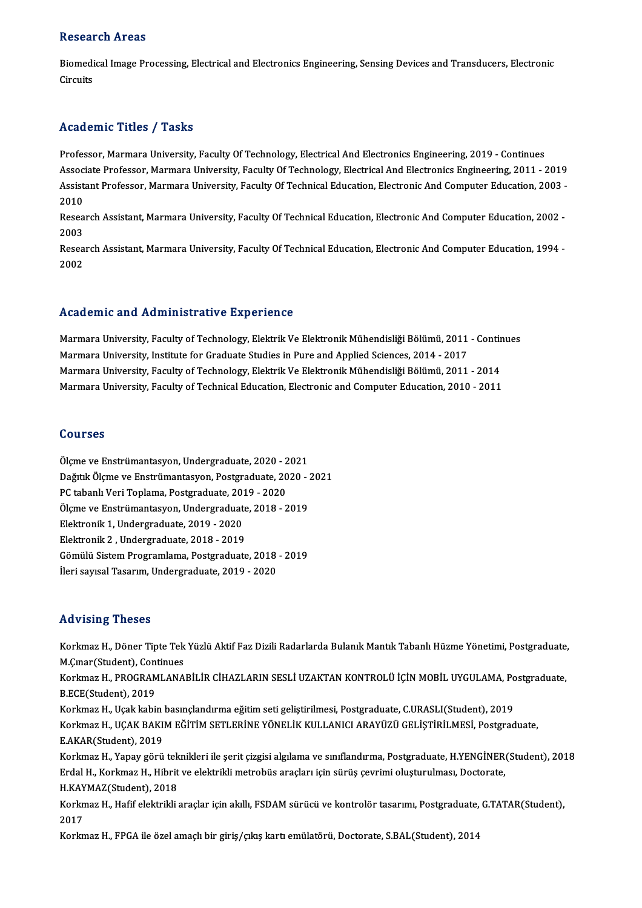#### **Research Areas**

Research Areas<br>Biomedical Image Processing, Electrical and Electronics Engineering, Sensing Devices and Transducers, Electronic<br>Cirquits Ricsear<br>Biomedi<br>Circuits

# Academic Titles / Tasks

Professor, Marmara University, Faculty Of Technology, Electrical And Electronics Engineering, 2019 - Continues Associate Article 7, Austis<br>Professor, Marmara University, Faculty Of Technology, Electrical And Electronics Engineering, 2019 - Continues<br>Associate Professor, Marmara University, Faculty Of Technology, Electrical And Elec Professor, Marmara University, Faculty Of Technology, Electrical And Electronics Engineering, 2019 - Continues<br>Associate Professor, Marmara University, Faculty Of Technology, Electrical And Electronics Engineering, 2011 - Assoc<br>Assist<br>2010<br>Pesee Assistant Professor, Marmara University, Faculty Of Technical Education, Electronic And Computer Education, 2003<br>2010<br>Research Assistant, Marmara University, Faculty Of Technical Education, Electronic And Computer Educatio

2010<br>Research Assistant, Marmara University, Faculty Of Technical Education, Electronic And Computer Education, 2002<br>2003 Research Assistant, Marmara University, Faculty Of Technical Education, Electronic And Computer Education, 2002<br>2003<br>Research Assistant, Marmara University, Faculty Of Technical Education, Electronic And Computer Education

2003<br>Resea<br>2002

# Academic and Administrative Experience

Academic and Administrative Experience<br>Marmara University, Faculty of Technology, Elektrik Ve Elektronik Mühendisliği Bölümü, 2011 - Continues<br>Marmara University, Institute for Craduate Studies in Pure and Annlied Sciences Marmara University, Faculty of Technology, Elektrik Ve Elektronik Mühendisliği Bölümü, 2011<br>Marmara University, Institute for Graduate Studies in Pure and Applied Sciences, 2014 - 2017<br>Marmara University, Institute for Gra Marmara University, Faculty of Technology, Elektrik Ve Elektronik Mühendisliği Bölümü, 2011 - Contin<br>Marmara University, Institute for Graduate Studies in Pure and Applied Sciences, 2014 - 2017<br>Marmara University, Faculty Marmara University, Institute for Graduate Studies in Pure and Applied Sciences, 2014 - 2017<br>Marmara University, Faculty of Technology, Elektrik Ve Elektronik Mühendisliği Bölümü, 2011 - 2014<br>Marmara University, Faculty of

#### Courses

Courses<br>Ölçme ve Enstrümantasyon, Undergraduate, 2020 - 2021<br>Dağıtık Ölçme ve Enstrümantasyon, Bestanaduate, 2020 Odure ve<br>Ölçme ve Enstrümantasyon, Undergraduate, 2020 - 2021<br>Dağıtık Ölçme ve Enstrümantasyon, Postgraduate, 2020 - 2021<br>PC tahanlı Veri Tonlama, Bostgraduate, 2019, 2020 Ölçme ve Enstrümantasyon, Undergraduate, 2020 - 2<br>Dağıtık Ölçme ve Enstrümantasyon, Postgraduate, 20<br>PC tabanlı Veri Toplama, Postgraduate, 2019 - 2020<br>Ölsme ve Enstrümantasyon, Undergraduate, 2018 - 2 Dağıtık Ölçme ve Enstrümantasyon, Postgraduate, 2020 - 2<br>PC tabanlı Veri Toplama, Postgraduate, 2019 - 2020<br>Ölçme ve Enstrümantasyon, Undergraduate, 2018 - 2019<br>Flektronik 1. Undergraduate, 2019, 2020 PC tabanlı Veri Toplama, Postgraduate, 2019<br>Ölçme ve Enstrümantasyon, Undergraduat<br>Elektronik 1, Undergraduate, 2019 - 2020<br>Elektronik 2, Undergraduate, 2019 - 2019 Ölçme ve Enstrümantasyon, Undergraduate<br>Elektronik 1, Undergraduate, 2019 - 2020<br>Elektronik 2 , Undergraduate, 2018 - 2019<br>Gömülü Sistam Programlama, Bostanaduate Elektronik 1, Undergraduate, 2019 - 2020<br>Elektronik 2 , Undergraduate, 2018 - 2019<br>Gömülü Sistem Programlama, Postgraduate, 2018 - 2019<br><sup>Hori sousel Teserum, Undergraduate, 2019, 2020</sup> Elektronik 2 , Undergraduate, 2018 - 2019<br>Gömülü Sistem Programlama, Postgraduate, 2018<br>İleri sayısal Tasarım, Undergraduate, 2019 - 2020 ileri sayısal Tasarım, Undergraduate, 2019 - 2020<br>Advising Theses

Advising Theses<br>Korkmaz H., Döner Tipte Tek Yüzlü Aktif Faz Dizili Radarlarda Bulanık Mantık Tabanlı Hüzme Yönetimi, Postgraduate,<br>M.Curar(Studart), Continues M.<br>Korkmaz H., Döner Tipte Tek<br>M.Çınar(Student), Continues<br>Korkmaz H., PROCRAMLANA Korkmaz H., Döner Tipte Tek Yüzlü Aktif Faz Dizili Radarlarda Bulanık Mantık Tabanlı Hüzme Yönetimi, Postgraduate,<br>M.Çınar(Student), Continues<br>Korkmaz H., PROGRAMLANABİLİR CİHAZLARIN SESLİ UZAKTAN KONTROLÜ İÇİN MOBİL UYGUL

M.Çınar (Student), Con<br>Korkmaz H., PROGRAM<br>B.ECE(Student), 2019<br>Korkmaz H., Heak kabi

B.ECE(Student), 2019<br>Korkmaz H., Uçak kabin basınçlandırma eğitim seti geliştirilmesi, Postgraduate, C.URASLI(Student), 2019 B.ECE(Student), 2019<br>Korkmaz H., Uçak kabin basınçlandırma eğitim seti geliştirilmesi, Postgraduate, C.URASLI(Student), 2019<br>Korkmaz H., UÇAK BAKIM EĞİTİM SETLERİNE YÖNELİK KULLANICI ARAYÜZÜ GELİŞTİRİLMESİ, Postgraduate,<br>E Korkmaz H., Uçak kabin<br>Korkmaz H., UÇAK BAKI<br>E.AKAR(Student), 2019<br>Korkmaz H., Yanay Görü Korkmaz H., UÇAK BAKIM EĞİTİM SETLERİNE YÖNELİK KULLANICI ARAYÜZÜ GELİŞTİRİLMESİ, Postgraduate,<br>E.AKAR(Student), 2019<br>Korkmaz H., Yapay görü teknikleri ile şerit çizgisi algılama ve sınıflandırma, Postgraduate, H.YENGİNER(

E.AKAR(Student), 2019<br>Korkmaz H., Yapay görü teknikleri ile şerit çizgisi algılama ve sınıflandırma, Postgraduate, H.YENGİNER<br>Erdal H., Korkmaz H., Hibrit ve elektrikli metrobüs araçları için sürüş çevrimi oluşturulması, D Korkmaz H., Yapay görü tek<br>Erdal H., Korkmaz H., Hibrit<br>H.KAYMAZ(Student), 2018<br>Korkmaz H., Hefif olektrikli Erdal H., Korkmaz H., Hibrit ve elektrikli metrobüs araçları için sürüş çevrimi oluşturulması, Doctorate,<br>H.KAYMAZ(Student), 2018<br>Korkmaz H., Hafif elektrikli araçlar için akıllı, FSDAM sürücü ve kontrolör tasarımı, Postgr

H.KAYMAZ(Student), 2018<br>Korkmaz H., Hafif elektrikli araçlar için akıllı, FSDAM sürücü ve kontrolör tasarımı, Postgraduate,<br>2017<br>Korkmaz H., FPGA ile özel amaçlı bir giriş/çıkış kartı emülatörü, Doctorate, S.BAL(Student), Korkmaz H., Hafif elektrikli araçlar için akıllı, FSDAM sürücü ve kontrolör tasarımı, Postgraduate,<br>2017<br>Korkmaz H., FPGA ile özel amaçlı bir giriş/çıkış kartı emülatörü, Doctorate, S.BAL(Student), 2014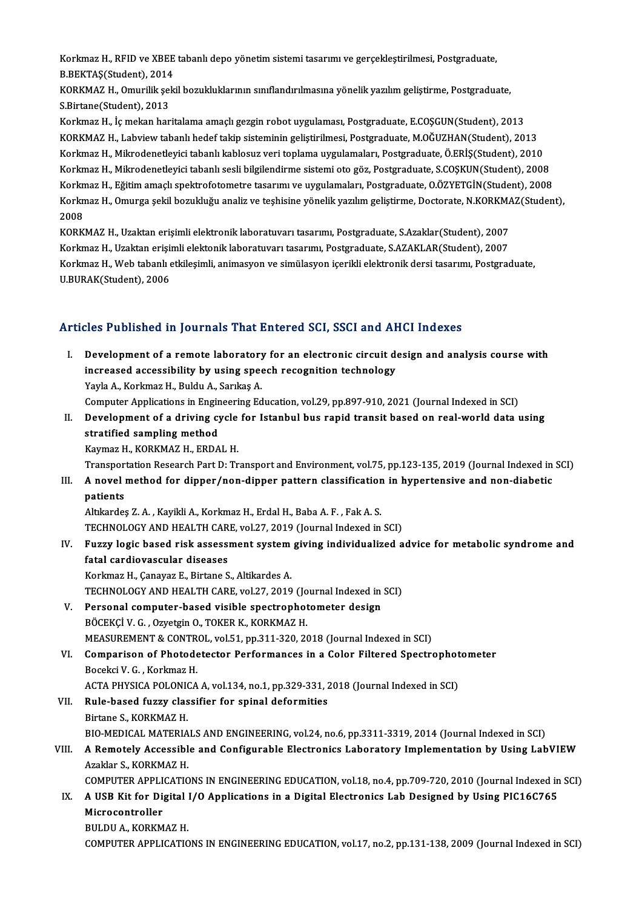Korkmaz H., RFID ve XBEE tabanlı depo yönetim sistemi tasarımı ve gerçekleştirilmesi, Postgraduate,<br>P.PEKTAS(Student), 2014 Korkmaz H., RFID ve XBEE<br>B.BEKTAŞ(Student), 2014<br>KORKMAZ H. Omunilik sek Korkmaz H., RFID ve XBEE tabanlı depo yönetim sistemi tasarımı ve gerçekleştirilmesi, Postgraduate,<br>B.BEKTAŞ(Student), 2014<br>KORKMAZ H., Omurilik şekil bozukluklarının sınıflandırılmasına yönelik yazılım geliştirme, Postgra

B.BEKTAŞ(Student), 2014<br>KORKMAZ H., Omurilik şekil bozukluklarının sınıflandırılmasına yönelik yazılım geliştirme, Postgraduate,<br>S.Birtane(Student), 2013

Korkmaz H., İç mekan haritalama amaçlı gezgin robot uygulaması, Postgraduate, E.COŞGUN(Student), 2013 KORKMAZH.,Labviewtabanlıhedef takip sisteminingeliştirilmesi,Postgraduate,M.OĞUZHAN(Student),2013 Korkmaz H., İç mekan haritalama amaçlı gezgin robot uygulaması, Postgraduate, E.COŞGUN(Student), 2013<br>KORKMAZ H., Labview tabanlı hedef takip sisteminin geliştirilmesi, Postgraduate, M.OĞUZHAN(Student), 2013<br>Korkmaz H., Mi KORKMAZ H., Labview tabanlı hedef takip sisteminin geliştirilmesi, Postgraduate, M.OĞUZHAN(Student), 2013<br>Korkmaz H., Mikrodenetleyici tabanlı kablosuz veri toplama uygulamaları, Postgraduate, Ö.ERİŞ(Student), 2010<br>Korkmaz Korkmaz H., Mikrodenetleyici tabanlı kablosuz veri toplama uygulamaları, Postgraduate, Ö.ERİŞ(Student), 2010<br>Korkmaz H., Mikrodenetleyici tabanlı sesli bilgilendirme sistemi oto göz, Postgraduate, S.COŞKUN(Student), 2008<br>K Korkmaz H., Mikrodenetleyici tabanlı sesli bilgilendirme sistemi oto göz, Postgraduate, S.COŞKUN(Student), 2008<br>Korkmaz H., Eğitim amaçlı spektrofotometre tasarımı ve uygulamaları, Postgraduate, O.ÖZYETGİN(Student), 2008<br>K Korkn<br>Korkn<br>2008<br><sub>KOPK</sub> Korkmaz H., Omurga şekil bozukluğu analiz ve teşhisine yönelik yazılım geliştirme, Doctorate, N.KORKM*A*<br>2008<br>KORKMAZ H., Uzaktan erişimli elektronik laboratuvarı tasarımı, Postgraduate, S.Azaklar(Student), 2007<br>Korkmaz H.

2008<br>KORKMAZ H., Uzaktan erişimli elektronik laboratuvarı tasarımı, Postgraduate, S.Azaklar(Student), 2007<br>Korkmaz H., Uzaktan erişimli elektonik laboratuvarı tasarımı, Postgraduate, S.AZAKLAR(Student), 2007 KORKMAZ H., Uzaktan erişimli elektronik laboratuvarı tasarımı, Postgraduate, S.Azaklar(Student), 2007<br>Korkmaz H., Uzaktan erişimli elektonik laboratuvarı tasarımı, Postgraduate, S.AZAKLAR(Student), 2007<br>Korkmaz H., Web tab Korkmaz H., Uzaktan erişi<br>Korkmaz H., Web tabanlı (<br>U.BURAK(Student), 2006

# Articles Published in Journals That Entered SCI, SSCI and AHCI Indexes

I. Development of a remote laboratory for an electronic circuit design and analysis course with Increased accessibility by using speech recognition technology<br>Nevelopment of a remote laboratory for an electronic circuit de<br>Navis A. Korkmaz H. Buldu A. Sarikas A. Development of a remote laboratory<br>increased accessibility by using spee<br>Yayla A., Korkmaz H., Buldu A., Sarıkaş A.<br>Computer Applications in Engineering Ed Yayla A., Korkmaz H., Buldu A., Sarıkaş A.<br>Computer Applications in Engineering Education, vol.29, pp.897-910, 2021 (Journal Indexed in SCI) Yayla A., Korkmaz H., Buldu A., Sarıkaş A.<br>Computer Applications in Engineering Education, vol.29, pp.897-910, 2021 (Journal Indexed in SCI)<br>II. Development of a driving cycle for Istanbul bus rapid transit based on real-w Computer Applications in Engin<br>Development of a driving cy<br>stratified sampling method<br>Kaymar H, KORKMAZ H, EPDA Development of a driving cycle<br>stratified sampling method<br>Kaymaz H., KORKMAZ H., ERDAL H.<br>Transportation Besearsh Part D. Tr stratified sampling method<br>Kaymaz H., KORKMAZ H., ERDAL H.<br>Transportation Research Part D: Transport and Environment, vol.75, pp.123-135, 2019 (Journal Indexed in SCI)<br>A novel method for dinner/non-dinner pattern classific Kaymaz H., KORKMAZ H., ERDAL H.<br>Transportation Research Part D: Transport and Environment, vol.75, pp.123-135, 2019 (Journal Indexed in<br>III. A novel method for dipper/non-dipper pattern classification in hypertensive and n Transpor<br>**A** novel<br>patients<br>Altkorder A novel method for dipper/non-dipper pattern classification<br>patients<br>Altıkardeş Z.A. , Kayikli A., Korkmaz H., Erdal H., Baba A. F. , Fak A. S.<br>TECHNOLOCY AND HEALTH CAPE vol 27–2019 (Journal Indoved in patients<br>Altıkardeş Z. A. , Kayikli A., Korkmaz H., Erdal H., Baba A. F. , Fak A. S.<br>TECHNOLOGY AND HEALTH CARE, vol.27, 2019 (Journal Indexed in SCI)<br>Eugay logia based risk assessment system giving individualised e Altıkardeş Z. A. , Kayikli A., Korkmaz H., Erdal H., Baba A. F. , Fak A. S.<br>TECHNOLOGY AND HEALTH CARE, vol.27, 2019 (Journal Indexed in SCI)<br>IV. Fuzzy logic based risk assessment system giving individualized advice for TECHNOLOGY AND HEALTH CARE, vol.27, 2019 (Journal Indexed in SCI)<br>Fuzzy logic based risk assessment system giving individualized a<br>fatal cardiovascular diseases<br>Korkmaz H., Canayaz E., Birtane S., Altikardes A. Fuzzy logic based risk assessment system<br>fatal cardiovascular diseases<br>Korkmaz H., Çanayaz E., Birtane S., Altikardes A.<br>TECHNOLOCY AND HEALTH CAPE vol 27, 2010 TECHNOLOGY AND HEALTH CARE, vol.27, 2019 (Journal Indexed in SCI) Korkmaz H., Çanayaz E., Birtane S., Altikardes A.<br>TECHNOLOGY AND HEALTH CARE, vol.27, 2019 (Journal Indexed in<br>V. Personal computer-based visible spectrophotometer design<br>PÖCEKCİ V.C. Ozyatajn O. TOKER K. KORKMAZ H TECHNOLOGY AND HEALTH CARE, vol.27, 2019 (Jo<br>Personal computer-based visible spectrophot<br>BÖCEKÇİ V. G. , Ozyetgin O., TOKER K., KORKMAZ H.<br>MEASUREMENT & CONTROL, vol.51, np.311, 320, 20 BÖCEKÇİ V. G., Ozyetgin O., TOKER K., KORKMAZ H.<br>MEASUREMENT & CONTROL, vol.51, pp.311-320, 2018 (Journal Indexed in SCI) BÖCEKÇİ V. G. , Ozyetgin O., TOKER K., KORKMAZ H.<br>MEASUREMENT & CONTROL, vol.51, pp.311-320, 2018 (Journal Indexed in SCI)<br>VI. Comparison of Photodetector Performances in a Color Filtered Spectrophotometer<br>Boseksi V. C. Ko MEASUREMENT & CONTR<br>Comparison of Photode<br>Bocekci V. G. , Korkmaz H.<br>ACTA PHYSICA POLONICA Comparison of Photodetector Performances in a Color Filtered Spectrophot<br>Bocekci V. G. , Korkmaz H.<br>ACTA PHYSICA POLONICA A, vol.134, no.1, pp.329-331, 2018 (Journal Indexed in SCI)<br>Pule based furgy closeifier for spinal d Bocekci V. G. , Korkmaz H.<br>ACTA PHYSICA POLONICA A, vol.134, no.1, pp.329-331, 2<br>VII. Rule-based fuzzy classifier for spinal deformities<br>Birtane S. KORKMAZ H. ACTA PHYSICA POLONICA A, vol.134, no.1, pp.329-331, 2018 (Journal Indexed in SCI) BIO-MEDICALMATERIALSANDENGINEERING,vol.24,no.6,pp.3311-3319,2014 (Journal Indexed inSCI) Birtane S., KORKMAZ H.<br>BIO-MEDICAL MATERIALS AND ENGINEERING, vol.24, no.6, pp.3311-3319, 2014 (Journal Indexed in SCI)<br>VIII. A Remotely Accessible and Configurable Electronics Laboratory Implementation by Using LabVIEW<br>Az BIO-MEDICAL MATERIA<br>A Remotely Accessibl<br>Azaklar S., KORKMAZ H.<br>COMBUTED APPLICATIC A Remotely Accessible and Configurable Electronics Laboratory Implementation by Using LabVIEW<br>Azaklar S., KORKMAZ H.<br>COMPUTER APPLICATIONS IN ENGINEERING EDUCATION, vol.18, no.4, pp.709-720, 2010 (Journal Indexed in SCI)<br>A Azaklar S., KORKMAZ H.<br>COMPUTER APPLICATIONS IN ENGINEERING EDUCATION, vol.18, no.4, pp.709-720, 2010 (Journal Indexed in<br>IX. A USB Kit for Digital I/O Applications in a Digital Electronics Lab Designed by Using PIC16C COMPUTER APPLICATIONS IN ENGINEERING EDUCATION, vol.18, no.4, pp.709-720, 2010 (Journal Indexed in SCI)<br>A USB Kit for Digital I/O Applications in a Digital Electronics Lab Designed by Using PIC16C765<br>Microcontroller<br>BULDU A USB Kit for Digital<br>Microcontroller<br>BULDU A., KORKMAZ H.<br>COMBUTED ADBLICATIC COMPUTERAPPLICATIONS INENGINEERINGEDUCATION,vol.17,no.2,pp.131-138,2009 (Journal Indexed inSCI)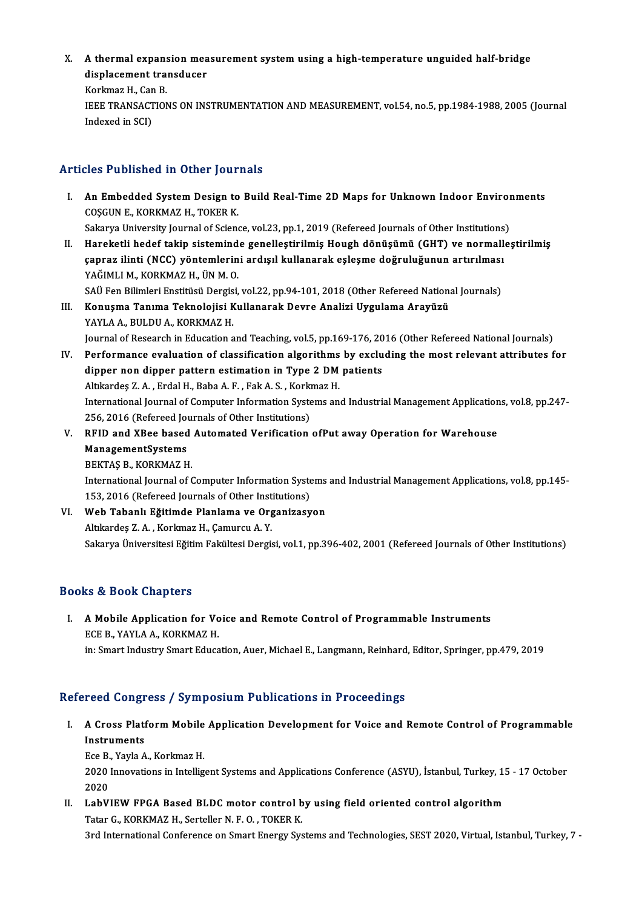X. A thermal expansion measurement system using a high-temperature unguided half-bridge<br>diaplesement transduser A thermal expansion mea<br>displacement transducer **A thermal expans<br>displacement tra<br>Korkmaz H., Can B.<br>IEEE TRANSACTION** 

displacement transducer<br>Korkmaz H., Can B.<br>IEEE TRANSACTIONS ON INSTRUMENTATION AND MEASUREMENT, vol.54, no.5, pp.1984-1988, 2005 (Journal<br>Indexed in SCI) Korkmaz H., Car<br>IEEE TRANSACT<br>Indexed in SCI)

### Articles Published in Other Journals

Tricles Published in Other Journals<br>I. An Embedded System Design to Build Real-Time 2D Maps for Unknown Indoor Environments<br>COSCUNE KORKMAZH TOKER K An Embedded System Design to<br>An Embedded System Design to<br>COŞGUNE., KORKMAZ H., TOKER K. An Embedded System Design to Build Real-Time 2D Maps for Unknown Indoor Enviror<br>COŞGUN E., KORKMAZ H., TOKER K.<br>Sakarya University Journal of Science, vol.23, pp.1, 2019 (Refereed Journals of Other Institutions)<br>Harokatli

COŞGUN E., KORKMAZ H., TOKER K.<br>Sakarya University Journal of Science, vol.23, pp.1, 2019 (Refereed Journals of Other Institutions)<br>II. Hareketli hedef takip sisteminde genelleştirilmiş Hough dönüşümü (GHT) ve normalleştir Sakarya University Journal of Science, vol.23, pp.1, 2019 (Refereed Journals of Other Institutions<br>Hareketli hedef takip sisteminde genelleştirilmiş Hough dönüşümü (GHT) ve normall<br>çapraz ilinti (NCC) yöntemlerini ardışıl Hareketli hedef takip sistemind<br>çapraz ilinti (NCC) yöntemlerin<br>YAĞIMLI M., KORKMAZ H., ÜN M. O.<br>SAÜ Fen Bilimleri Enstitüsü Dersisi çapraz ilinti (NCC) yöntemlerini ardışıl kullanarak eşleşme doğruluğunun artırılması<br>YAĞIMLI M., KORKMAZ H., ÜN M. O.<br>SAÜ Fen Bilimleri Enstitüsü Dergisi, vol.22, pp.94-101, 2018 (Other Refereed National Journals)

- YAĞIMLI M., KORKMAZ H., ÜN M. O.<br>SAÜ Fen Bilimleri Enstitüsü Dergisi, vol.22, pp.94-101, 2018 (Other Refereed Nation:<br>III. Konuşma Tanıma Teknolojisi Kullanarak Devre Analizi Uygulama Arayüzü<br>YAVI A A BIJI DUA KORKMAZ H SAÜ Fen Bilimleri Enstitüsü Dergis<br>Konuşma Tanıma Teknolojisi K<br>YAYLA A., BULDU A., KORKMAZ H.<br>Journal of Pessarsh in Edusation s YAYLA A., BULDU A., KORKMAZ H.<br>Journal of Research in Education and Teaching, vol.5, pp.169-176, 2016 (Other Refereed National Journals) YAYLA A., BULDU A., KORKMAZ H.<br>Journal of Research in Education and Teaching, vol.5, pp.169-176, 2016 (Other Refereed National Journals)<br>IV. Performance evaluation of classification algorithms by excluding the most relevan
- Journal of Research in Education and Teaching, vol.5, pp.169-176, 20<br>Performance evaluation of classification algorithms by excludipper non dipper pattern estimation in Type 2 DM patients<br>Altkardes 7 A, Erdal H, Paba A, E, Performance evaluation of classification algorithms<br>dipper non dipper pattern estimation in Type 2 DM<br>Altıkardeş Z.A. , Erdal H., Baba A.F. , Fak A.S. , Korkmaz H.<br>International Journal of Computer Information Systems an dipper non dipper pattern estimation in Type 2 DM patients<br>Altıkardeş Z. A. , Erdal H., Baba A. F. , Fak A. S. , Korkmaz H.<br>International Journal of Computer Information Systems and Industrial Management Applications, vol. Altıkardeş Z. A. , Erdal H., Baba A. F. , Fak A. S. , Kork<br>International Journal of Computer Information Syste<br>256, 2016 (Refereed Journals of Other Institutions)<br>PEID and YBee based Autemated Verification International Journal of Computer Information Systems and Industrial Management Application<br>256, 2016 (Refereed Journals of Other Institutions)<br>V. RFID and XBee based Automated Verification ofPut away Operation for Warehou
- 256, 2016 (Refereed Jov<br>RFID and XBee based<br>ManagementSystems<br>PEKTAS P-KORKMAZ H RFID and XBee based<br>ManagementSystems<br>BEKTAŞ B., KORKMAZ H.<br>International Journal of G ManagementSystems<br>BEKTAŞ B., KORKMAZ H.<br>International Journal of Computer Information Systems and Industrial Management Applications, vol.8, pp.145-153, 2016 (Refereed Journals of Other Institutions)
- International Journal of Computer Information Systems<br>153, 2016 (Refereed Journals of Other Institutions)<br>VI. Web Tabanlı Eğitimde Planlama ve Organizasyon 153, 2016 (Refereed Journals of Other Inst<br>Web Tabanlı Eğitimde Planlama ve Org<br>Altıkardeş Z.A. , Korkmaz H., Çamurcu A.Y.<br>Selseve Üniversitesi Eğitim Felziltesi Dergis Altikardeş Z. A. , Korkmaz H., Çamurcu A. Y.<br>Sakarya Üniversitesi Eğitim Fakültesi Dergisi, vol.1, pp.396-402, 2001 (Refereed Journals of Other Institutions)

### Books&Book Chapters

OOks & Book Chapters<br>I. A Mobile Application for Voice and Remote Control of Programmable Instruments<br>FCE B XAVI A A KORKMAZ H ECE B., YAYLA A., KORKMAZ H.<br>ECE B., YAYLA A., KORKMAZ H.<br>in: Smart Industry Smart Educa A Mobile Application for Voice and Remote Control of Programmable Instruments<br>ECE B., YAYLA A., KORKMAZ H.<br>in: Smart Industry Smart Education, Auer, Michael E., Langmann, Reinhard, Editor, Springer, pp.479, 2019

in: Smart Industry Smart Education, Auer, Michael E., Langmann, Reinhard, Editor, Springer, pp.479, 2019<br>Refereed Congress / Symposium Publications in Proceedings

efereed Congress / Symposium Publications in Proceedings<br>I. A Cross Platform Mobile Application Development for Voice and Remote Control of Programmable<br>Instruments A Cross Platf<br>Instruments<br>Ece B Youle A **A Cross Platform Mobile<br>Instruments<br>Ece B., Yayla A., Korkmaz H.<br>2020 Innovations in Intellia** 

Instruments<br>Ece B., Yayla A., Korkmaz H.<br>2020 Innovations in Intelligent Systems and Applications Conference (ASYU), İstanbul, Turkey, 15 - 17 October Ece B<br>2020<br>2020<br>Leb<sup>11</sup> 2020 Innovations in Intelligent Systems and Applications Conference (ASYU), İstanbul, Turkey, 1:<br>2020<br>II. LabVIEW FPGA Based BLDC motor control by using field oriented control algorithm<br>Tatar C. KOPKMAZ H. Sorteller N.E.O.

2020<br>II. LabVIEW FPGA Based BLDC motor control by using field oriented control algorithm<br>Tatar G., KORKMAZ H., Serteller N. F. O. , TOKER K.

3rd International Conference on Smart Energy Systems and Technologies, SEST 2020, Virtual, Istanbul, Turkey, 7 -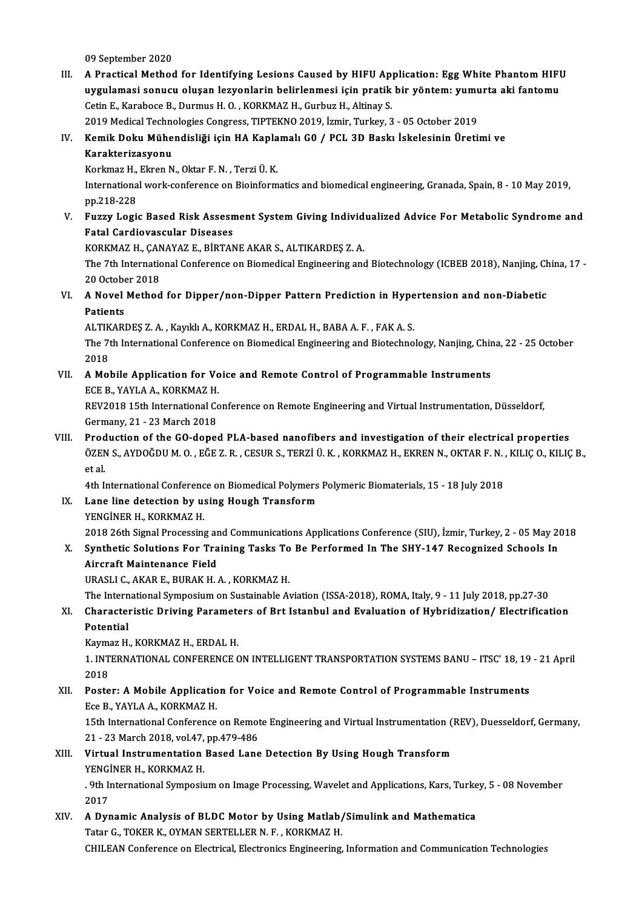09 September 2020

09 September 2020<br>III. A Practical Method for Identifying Lesions Caused by HIFU Application: Egg White Phantom HIFU<br>www.lamasi.convey.olygen.logycologin.heliplenmesi.isin.nestik.hin.yöntem: www.yte.oki.fontom: 09 September 2020<br>A Practical Method for Identifying Lesions Caused by HIFU Application: Egg White Phantom HIFI<br>uygulamasi sonucu oluşan lezyonlarin belirlenmesi için pratik bir yöntem: yumurta aki fantomu<br>Setin E. Karabas uygulamasi sonucu oluşan lezyonlarin belirlenmesi için pratik bir yöntem: yumurta aki fantomu<br>Cetin E., Karaboce B., Durmus H. O. , KORKMAZ H., Gurbuz H., Altinay S. Cetin E., Karaboce B., Durmus H. O. , KORKMAZ H., Gurbuz H., Altinay S.<br>2019 Medical Technologies Congress, TIPTEKNO 2019, İzmir, Turkey, 3 - 05 October 2019<br>IV. Kemik Doku Mühendisliği için HA Kaplamalı G0 / PCL 3D Baskı

2019MedicalTechnologiesCongress,TIPTEKNO2019, İzmir,Turkey,3 -05October 2019

2019 Medical Techno<br>Kemik Doku Mühe<br>Karakterizasyonu<br>Kerkmaz H. Ekren N Kemik Doku Mühendisliği için HA Kapla<br>Karakterizasyonu<br>Korkmaz H., Ekren N., Oktar F. N. , Terzi Ü. K.<br>International work sonference en Bioinferm

Karakterizasyonu<br>Korkmaz H., Ekren N., Oktar F. N. , Terzi Ü. K.<br>International work-conference on Bioinformatics and biomedical engineering, Granada, Spain, 8 - 10 May 2019,<br>nn 219 229 Korkmaz H.,<br>Internationa<br>pp.218-228<br>Eugen Logi International work-conference on Bioinformatics and biomedical engineering, Granada, Spain, 8 - 10 May 2019,<br>pp.218-228<br>V. Fuzzy Logic Based Risk Assesment System Giving Individualized Advice For Metabolic Syndrome and<br>Fat

## pp.218-228<br>Fuzzy Logic Based Risk Assesn<br>Fatal Cardiovascular Diseases<br>KORKMAZ H. CANAVAZ E. RIBTAN Fuzzy Logic Based Risk Assesment System Giving Individ<br>Fatal Cardiovascular Diseases<br>KORKMAZ H., ÇANAYAZ E., BİRTANE AKAR S., ALTIKARDEŞ Z. A.<br>The <sup>7th</sup> International Cenference en Biemedical Engineering eng

Fatal Cardiovascular Diseases<br>KORKMAZ H., ÇANAYAZ E., BİRTANE AKAR S., ALTIKARDEŞ Z. A.<br>The 7th International Conference on Biomedical Engineering and Biotechnology (ICBEB 2018), Nanjing, China, 17 -<br>20 Osteber 2018 KORKMAZ H., ÇAN<br>The 7th Internatio<br>20 October 2018<br>A Novel Method The 7th International Conference on Biomedical Engineering and Biotechnology (ICBEB 2018), Nanjing, Chapter 2018<br>20 October 2018<br>VI. A Novel Method for Dipper/non-Dipper Pattern Prediction in Hypertension and non-Diabetic<br>

20 Octobe<br>**A Novel**<br>Patients<br>ALTIZAPI A Novel Method for Dipper/non-Dipper Pattern Prediction in Hype<br>Patients<br>ALTIKARDEŞ Z.A., Kayıklı A., KORKMAZ H., ERDAL H., BABA A. F. , FAK A. S.<br>The <sup>7th</sup> International Conference on Biamediael Engineering and Bietechne

Patients<br>ALTIKARDEŞ Z. A. , Kayıklı A., KORKMAZ H., ERDAL H., BABA A. F. , FAK A. S.<br>The 7th International Conference on Biomedical Engineering and Biotechnology, Nanjing, China, 22 - 25 October<br>2018 ALTIK<br>The 7t<br>2018 The 7th International Conference on Biomedical Engineering and Biotechnology, Nanjing, Chip 2018<br>VII. A Mobile Application for Voice and Remote Control of Programmable Instruments<br>FCE B VAVI A A KORKMAZ H

2018<br>**A Mobile Application for Vo**<br>ECE B., YAYLA A., KORKMAZ H.<br>PEV2019 15th International Co REV2018 15th International Conservational Conference Control of Programmable Instruments<br>REV2018 15th International Conference on Remote Engineering and Virtual Instrumentation, Düsseldorf,<br>Cormany 21, 22 March 2019

ECE B., YAYLA A., KORKMAZ H.<br>REV2018 15th International Cort<br>Germany, 21 - 23 March 2018<br>Production of the CO dange

Germany, 21 - 23 March 2018<br>VIII. Production of the GO-doped PLA-based nanofibers and investigation of their electrical properties Germany, 21 - 23 March 2018<br>Production of the GO-doped PLA-based nanofibers and investigation of their electrical properties<br>ÖZEN S., AYDOĞDU M. O. , EĞE Z. R. , CESUR S., TERZİ Ü. K. , KORKMAZ H., EKREN N., OKTAR F. N. , Prod<br>ÖZEN<br>et al.<br>4th L ÖZEN S., AYDOĞDU M. O. , EĞE Z. R. , CESUR S., TERZİ Ü. K. , KORKMAZ H., EKREN N., OKTAR F. N. ,<br>et al.<br>4th International Conference on Biomedical Polymers Polymeric Biomaterials, 15 - 18 July 2018<br>Lang line detection by u

- et al.<br>4th International Conference on Biomedical Polymers<br>IX. Lane line detection by using Hough Transform<br>VENCINED H. KORKMAZ H 4th International Conferenc<br>Lane line detection by us<br>YENGİNER H., KORKMAZ H.<br>2018 26th Signal Prosessine 2018 26th Signal Processing and Communications Applications Conference (SIU), İzmir, Turkey, 2 - 05 May 2018<br>2018 26th Signal Processing and Communications Applications Conference (SIU), İzmir, Turkey, 2 - 05 May 2018 YENGİNER H., KORKMAZ H.<br>2018 26th Signal Processing and Communications Applications Conference (SIU), İzmir, Turkey, 2 - 05 May 20<br>3. Synthetic Solutions For Training Tasks To Be Performed In The SHY-147 Recognized Schools
- 2018 26th Signal Processing an<br>Synthetic Solutions For Tra<br>Aircraft Maintenance Field<br>UPASLLC AVARE PURAV H Synthetic Solutions For Training Tasks To<br>Aircraft Maintenance Field<br>URASLI C., AKAR E., BURAK H. A. , KORKMAZ H.<br>The International Symnosium on Systeinable A Aircraft Maintenance Field<br>URASLI C., AKAR E., BURAK H. A. , KORKMAZ H.<br>The International Symposium on Sustainable Aviation (ISSA-2018), ROMA, Italy, 9 - 11 July 2018, pp.27-30<br>Characteristic Driving Barametars of Prt Ista

### URASLI C., AKAR E., BURAK H. A. , KORKMAZ H.<br>The International Symposium on Sustainable Aviation (ISSA-2018), ROMA, Italy, 9 - 11 July 2018, pp.27-30<br>XI. Characteristic Driving Parameters of Brt Istanbul and Evaluation of The Intern<br>Character<br>Potential<br>Kaumaz H Characteristic Driving Paramete<br>Potential<br>Kaymaz H., KORKMAZ H., ERDAL H.<br>1. INTERNATIONAL CONEERENCE C

Potential<br>Kaymaz H., KORKMAZ H., ERDAL H.<br>1. INTERNATIONAL CONFERENCE ON INTELLIGENT TRANSPORTATION SYSTEMS BANU – ITSC' 18, 19 - 21 April<br>2018 Kayma<br>1. INT<br>2018<br>Poste 1. INTERNATIONAL CONFERENCE ON INTELLIGENT TRANSPORTATION SYSTEMS BANU – ITSC' 18, 19<br>2018<br>XII. Poster: A Mobile Application for Voice and Remote Control of Programmable Instruments<br>For P. YAVI A A. KORKMAZ H

### 2018<br>XII. Poster: A Mobile Application for Voice and Remote Control of Programmable Instruments<br>Ece B., YAYLA A., KORKMAZ H. 15th International Applicational Conference on Remote Control of Programmable Instruments<br>Ece B., YAYLA A., KORKMAZ H.<br>15th International Conference on Remote Engineering and Virtual Instrumentation (REV), Duesseldorf, Ger

Ece B., YAYLA A., KORKMAZ H.<br>15th International Conference on Remot<br>21 - 23 March 2018, vol.47, pp.479-486<br>Virtual Instrumentation Based Lane 15th International Conference on Remote Engineering and Virtual Instrumentation (1<br>21 - 23 March 2018, vol.47, pp.479-486<br>XIII. Virtual Instrumentation Based Lane Detection By Using Hough Transform<br>VENCINER H. KORKMAZ H

21 - 23 March 2018, vol.47, pp.479-486<br>XIII. Virtual Instrumentation Based Lane Detection By Using Hough Transform<br>YENGİNER H., KORKMAZ H.

Virtual Instrumentation Based Lane Detection By Using Hough Transform<br>YENGİNER H., KORKMAZ H.<br>. 9th International Symposium on Image Processing, Wavelet and Applications, Kars, Turkey, 5 - 08 November<br>2017 **YENG**<br>2017<br>2017 9th International Symposium on Image Processing, Wavelet and Applications, Kars, Turke<br>2017<br>XIV. A Dynamic Analysis of BLDC Motor by Using Matlab/Simulink and Mathematica<br>Tetar G. TOKER K. OVMAN SERTELLER N. E. KORKMAZ H

2017<br>A Dynamic Analysis of BLDC Motor by Using Matlab,<br>Tatar G., TOKER K., OYMAN SERTELLER N. F. , KORKMAZ H.<br>CHU FAN Conference on Flectricel Flectronics Engineering. Tatar G., TOKER K., OYMAN SERTELLER N. F. , KORKMAZ H.<br>CHILEAN Conference on Electrical, Electronics Engineering, Information and Communication Technologies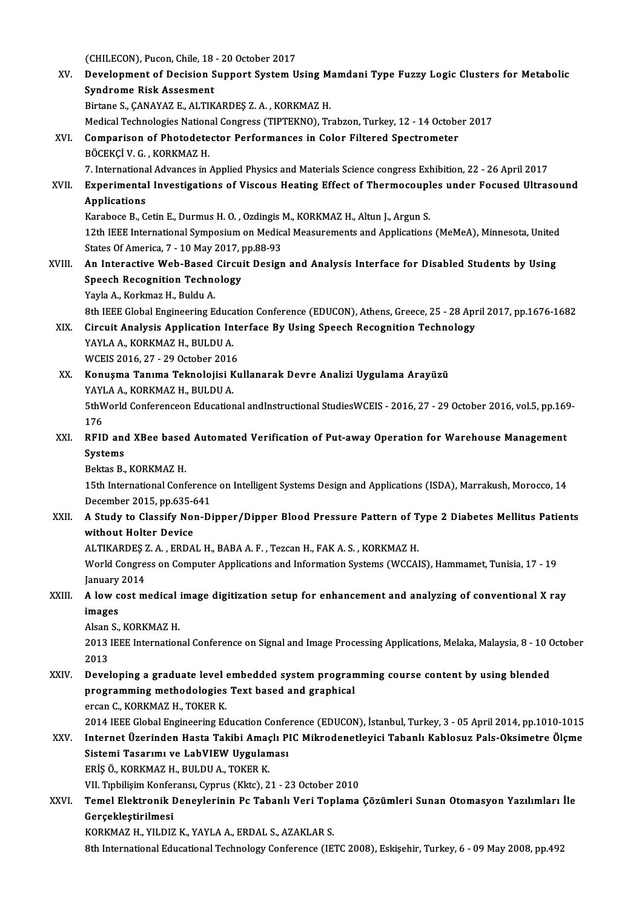(CHILECON), Pucon, Chile, 18 - 20 October 2017<br>Pevelenment of Desision Sunnert System II

XV. Development of Decision Support System Using Mamdani Type Fuzzy Logic Clusters for Metabolic<br>Syndrome Risk Assesment (CHILECON), Pucon, Chile, 18<br>Development of Decision S<br>Syndrome Risk Assesment<br>Birtane S. CANAYAZ E. ALTIK Birtane S., ÇANAYAZ E., ALTIKARDEŞ Z.A., KORKMAZ H. Medical Technologies National Congress (TIPTEKNO), Trabzon, Turkey, 12 - 14 October 2017 XVI. Comparison of Photodetector Performances in Color Filtered Spectrometer BÖCEKÇİ V. G., KORKMAZH. 7. International Advances in Applied Physics and Materials Science congress Exhibition, 22 - 26 April 2017 BÖCEKÇİ V. G. , KORKMAZ H.<br>7. International Advances in Applied Physics and Materials Science congress Exhibition, 22 - 26 April 2017<br>8. Applications of Viscous Heating Effect of Thermocouples under Focused Ultrasound<br>Appl 7. Internationa<br>Experimenta<br>Applications<br>Karabaga B. G Experimental Investigations of Viscous Heating Effect of Thermocoupl<br>Applications<br>Karaboce B., Cetin E., Durmus H. O. , Ozdingis M., KORKMAZ H., Altun J., Argun S.<br>12th IEEE International Symposium on Modisel Measurements 12th IEEE International Symposium on Medical Measurements and Applications (MeMeA), Minnesota, United<br>12th IEEE International Symposium on Medical Measurements and Applications (MeMeA), Minnesota, United<br>12th IEEE Internat Karaboce B., Cetin E., Durmus H. O., Ozdingis M., KORKMAZ H., Altun J., Argun S. 12th IEEE International Symposium on Medical Measurements and Applications (MeMeA), Minnesota, United<br>States Of America, 7 - 10 May 2017, pp.88-93<br>XVIII. An Interactive Web-Based Circuit Design and Analysis Interface for D States Of America, 7 - 10 May 2017, p<br>An Interactive Web-Based Circui<br>Speech Recognition Technology<br>Youla A. Korkmaz H. Buldu A An Interactive Web-Based<br>Speech Recognition Techno<br>Yayla A., Korkmaz H., Buldu A.<br><sup>9th IEEE Clobal Engineering E</sup> 8peech Recognition Technology<br>1999 - Yayla A., Korkmaz H., Buldu A.<br>8th IEEE Global Engineering Education Conference (EDUCON), Athens, Greece, 25 - 28 April 2017, pp.1676-1682 Yayla A., Korkmaz H., Buldu A.<br>8th IEEE Global Engineering Education Conference (EDUCON), Athens, Greece, 25 - 28 Apr<br>XIX. Circuit Analysis Application Interface By Using Speech Recognition Technology<br>XAVI A A. KORKMAZ H. 8th IEEE Global Engineering Educa<br>Circuit Analysis Application In<br>YAYLA A., KORKMAZ H., BULDU A. Circuit Analysis Application Inte<br>YAYLA A., KORKMAZ H., BULDU A.<br>WCEIS 2016, 27 - 29 October 2016<br>Konusma Tanıma Talınalajisi Ku YAYLA A., KORKMAZ H., BULDU A.<br>WCEIS 2016, 27 - 29 October 2016<br>XX. Konuşma Tanıma Teknolojisi Kullanarak Devre Analizi Uygulama Arayüzü<br>YAYLA A., KORKMAZ H., BULDU A. WCEIS 2016, 27 - 29 October 2016 Konuşma Tanıma Teknolojisi Kullanarak Devre Analizi Uygulama Arayüzü<br>YAYLA A., KORKMAZ H., BULDU A.<br>5thWorld Conferenceon Educational andInstructional StudiesWCEIS - 2016, 27 - 29 October 2016, vol.5, pp.169-<br>176 1941<br>176<br>176 5thWorld Conferenceon Educational andInstructional StudiesWCEIS - 2016, 27 - 29 October 2016, vol.5, pp.169<br>176<br>XXI. RFID and XBee based Automated Verification of Put-away Operation for Warehouse Management<br>Systems 176<br>RFID and<br>Systems<br>Bolttes B RFID and XBee based<br>Systems<br>Bektas B., KORKMAZ H.<br>15th International Conf Systems<br>15th International Conference on Intelligent Systems Design and Applications (ISDA), Marrakush, Morocco, 14<br>15th International Conference on Intelligent Systems Design and Applications (ISDA), Marrakush, Morocco, 1 Bektas B., KORKMAZ H.<br>15th International Conference<br>December 2015, pp.635-641<br>A Study to Clossify Non Di XXII. A Study to Classify Non-Dipper/Dipper Blood Pressure Pattern of Type 2 Diabetes Mellitus Patients<br>without Holter Device December 2015, pp.635-6<br>A Study to Classify No:<br>without Holter Device<br>ALTIVARDES 7 A - EPDA A Study to Classify Non-Dipper/Dipper Blood Pressure Pattern of T<br>without Holter Device<br>ALTIKARDEŞ Z.A., ERDAL H., BABA A. F., Tezcan H., FAK A. S., KORKMAZ H.<br>World Congress on Computer Applications and Information System World Congress on Computer Applications and Information Systems (WCCAIS), Hammamet, Tunisia, 17 - 19<br>January 2014 ALTIKARDEŞ<br>World Congre<br>January 2014<br>A Jow cost m World Congress on Computer Applications and Information Systems (WCCAIS), Hammamet, Tunisia, 17 - 19<br>January 2014<br>XXIII. A low cost medical image digitization setup for enhancement and analyzing of conventional X ray January<br>**A low c<br>images** A low cost medical<br>images<br>Alsan S., KORKMAZ H.<br>2012 IEEE Internation images<br>Alsan S., KORKMAZ H.<br>2013 IEEE International Conference on Signal and Image Processing Applications, Melaka, Malaysia, 8 - 10 October Alsan<br>2013<br>2013<br>Davel 2013 IEEE International Conference on Signal and Image Processing Applications, Melaka, Malaysia, 8 - 10 C<br>2013 ZXIV. Developing a graduate level embedded system programming course content by using blended<br>programming meth 2013<br>Developing a graduate level embedded system progran<br>programming methodologies Text based and graphical<br>ersan G. KOPKMAZ H. TOKER K Developing a graduate level<br>programming methodologies<br>ercan C., KORKMAZ H., TOKER K.<br>2014 JEEE Clobal Engineering Ed programming methodologies Text based and graphical<br>ercan C., KORKMAZ H., TOKER K.<br>2014 IEEE Global Engineering Education Conference (EDUCON), İstanbul, Turkey, 3 - 05 April 2014, pp.1010-1015<br>Internet Üzerinden Hesta Tekib ercan C., KORKMAZ H., TOKER K.<br>2014 IEEE Global Engineering Education Conference (EDUCON), İstanbul, Turkey, 3 - 05 April 2014, pp.1010-1015<br>XXV. Internet Üzerinden Hasta Takibi Amaçlı PIC Mikrodenetleyici Tabanlı Kabl 2014 IEEE Global Engineering Education Confe<br>Internet Üzerinden Hasta Takibi Amaçlı Pi<br>Sistemi Tasarımı ve LabVIEW Uygulaması<br>FRİS Ö, KORKMAZ H, BULDUA, TOKER K Internet Üzerinden Hasta Takibi Amaç<br>Sistemi Tasarımı ve LabVIEW Uygulan<br>ERİŞ Ö., KORKMAZ H., BULDU A., TOKER K.<br>VIL Tapbilisim Konferensı Cunnus (Kito) 2 Sistemi Tasarımı ve LabVIEW Uygulaması<br>ERİŞ Ö., KORKMAZ H., BULDU A., TOKER K.<br>VII. Tıpbilişim Konferansı, Cyprus (Kktc), 21 - 23 October 2010 ERİŞ Ö., KORKMAZ H., BULDU A., TOKER K.<br>VII. Tıpbilişim Konferansı, Cyprus (Kktc), 21 - 23 October 2010<br>XXVI. Temel Elektronik Deneylerinin Pc Tabanlı Veri Toplama Çözümleri Sunan Otomasyon Yazılımları İle<br>Gersekleştir VII. Tipbilişim Konfer<br>Temel Elektronik I<br>Gerçekleştirilmesi<br>KORKMAZ H- VILDIZ Temel Elektronik Deneylerinin Pc Tabanlı Veri Top<br>Gerçekleştirilmesi<br>KORKMAZ H., YILDIZ K., YAYLA A., ERDAL S., AZAKLAR S.<br><sup>9th Intonational Educational Technology Conference (IE'</sup> Gerçekleştirilmesi<br>KORKMAZ H., YILDIZ K., YAYLA A., ERDAL S., AZAKLAR S.<br>8th International Educational Technology Conference (IETC 2008), Eskişehir, Turkey, 6 - 09 May 2008, pp.492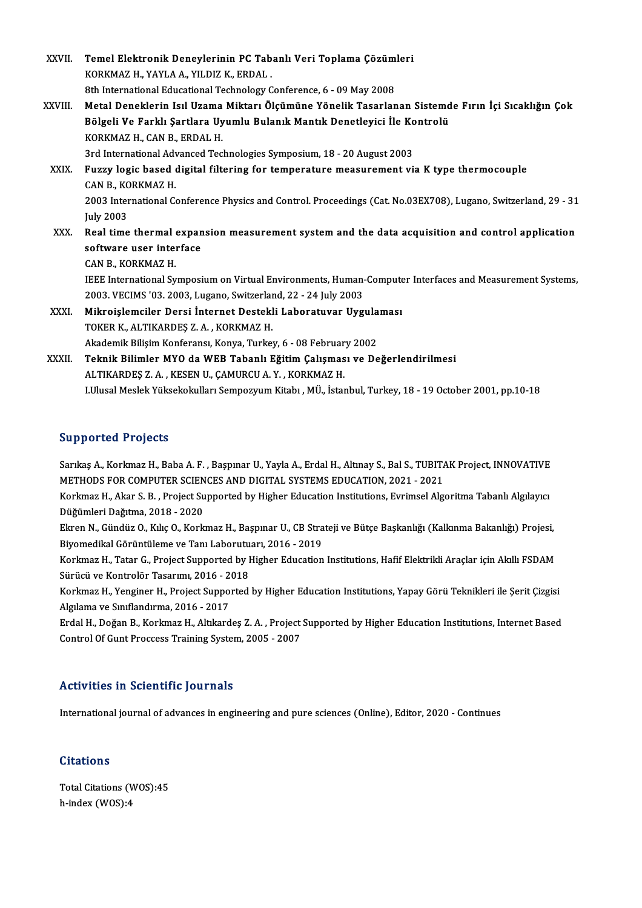| XXVII.  | Temel Elektronik Deneylerinin PC Tabanlı Veri Toplama Çözümleri                                                |
|---------|----------------------------------------------------------------------------------------------------------------|
|         | KORKMAZ H., YAYLA A., YILDIZ K., ERDAL                                                                         |
|         | 8th International Educational Technology Conference, 6 - 09 May 2008                                           |
| XXVIII. | Metal Deneklerin Isıl Uzama Miktarı Ölçümüne Yönelik Tasarlanan Sistemde Fırın İçi Sıcaklığın Çok              |
|         | Bölgeli Ve Farklı Şartlara Uyumlu Bulanık Mantık Denetleyici İle Kontrolü                                      |
|         | KORKMAZ H., CAN B., ERDAL H.                                                                                   |
|         | 3rd International Advanced Technologies Symposium, 18 - 20 August 2003                                         |
| XXIX.   | Fuzzy logic based digital filtering for temperature measurement via K type thermocouple                        |
|         | CAN B, KORKMAZ H                                                                                               |
|         | 2003 International Conference Physics and Control. Proceedings (Cat. No.03EX708), Lugano, Switzerland, 29 - 31 |
|         | <b>July 2003</b>                                                                                               |
| XXX.    | Real time thermal expansion measurement system and the data acquisition and control application                |
|         | software user interface                                                                                        |
|         | CAN B, KORKMAZ H.                                                                                              |
|         | IEEE International Symposium on Virtual Environments, Human-Computer Interfaces and Measurement Systems,       |
|         | 2003. VECIMS '03. 2003, Lugano, Switzerland, 22 - 24 July 2003                                                 |
| XXXI.   | Mikroislemciler Dersi İnternet Destekli Laboratuvar Uygulaması                                                 |
|         | TOKER K., ALTIKARDEŞ Z. A., KORKMAZ H.                                                                         |
|         | Akademik Bilişim Konferansı, Konya, Turkey, 6 - 08 February 2002                                               |
| XXXII.  | Teknik Bilimler MYO da WEB Tabanlı Eğitim Çalışması ve Değerlendirilmesi                                       |
|         | ALTIKARDEŞ Z. A., KESEN U., ÇAMURCU A. Y., KORKMAZ H.                                                          |
|         | I.Ulusal Meslek Yüksekokulları Sempozyum Kitabı, MÜ., İstanbul, Turkey, 18 - 19 October 2001, pp.10-18         |
|         |                                                                                                                |

#### Supported Projects

Supported Projects<br>Sarıkaş A., Korkmaz H., Baba A. F. , Başpınar U., Yayla A., Erdal H., Altınay S., Bal S., TUBITAK Project, INNOVATIVE<br>METHODS EOR COMPUTER SCIENCES AND DICITAL SYSTEMS EDUCATION 2021 - 2021 Sarıkaş A., Korkmaz H., Baba A. F. , Başpınar U., Yayla A., Erdal H., Altınay S., Bal S., TUBIT.<br>METHODS FOR COMPUTER SCIENCES AND DIGITAL SYSTEMS EDUCATION, 2021 - 2021<br>Korkmaz H., Akar S. B., Preject Sunnerted by Higher Sarıkaş A., Korkmaz H., Baba A. F. , Başpınar U., Yayla A., Erdal H., Altınay S., Bal S., TUBITAK Project, INNOVATIVE<br>METHODS FOR COMPUTER SCIENCES AND DIGITAL SYSTEMS EDUCATION, 2021 - 2021<br>Korkmaz H., Akar S. B. , Projec

METHODS FOR COMPUTER SCIENCES AND DIGITAL SYSTEMS EDUCATION, 2021 - 2021<br>Korkmaz H., Akar S. B. , Project Supported by Higher Education Institutions, Evrimsel Algoritma Tabanlı Algılayıcı<br>Düğümleri Dağıtma, 2018 - 2020 Korkmaz H., Akar S. B. , Project Supported by Higher Education Institutions, Evrimsel Algoritma Tabanlı Algılayıcı<br>Düğümleri Dağıtma, 2018 - 2020<br>Ekren N., Gündüz O., Kılıç O., Korkmaz H., Başpınar U., CB Strateji ve Bütçe

Düğümleri Dağıtma, 2018 - 2020<br>Ekren N., Gündüz O., Kılıç O., Korkmaz H., Başpınar U., CB Stra<br>Biyomedikal Görüntüleme ve Tanı Laborutuarı, 2016 - 2019<br>Korkmaz H., Tatar G., Brejest Sunnerted bu Hisber Edusation Ekren N., Gündüz O., Kılıç O., Korkmaz H., Başpınar U., CB Strateji ve Bütçe Başkanlığı (Kalkınma Bakanlığı) Projesi,<br>Biyomedikal Görüntüleme ve Tanı Laborutuarı, 2016 - 2019<br>Korkmaz H., Tatar G., Project Supported by High

Biyomedikal Görüntüleme ve Tanı Laborutu<br>Korkmaz H., Tatar G., Project Supported by I<br>Sürücü ve Kontrolör Tasarımı, 2016 - 2018<br>Korkmaz H. Venginer H. Project Supported Korkmaz H., Tatar G., Project Supported by Higher Education Institutions, Hafif Elektrikli Araçlar için Akıllı FSDAM<br>Sürücü ve Kontrolör Tasarımı, 2016 - 2018<br>Korkmaz H., Yenginer H., Project Supported by Higher Education

Sürücü ve Kontrolör Tasarımı, 2016 - 2018<br>Korkmaz H., Yenginer H., Project Supported<br>Algılama ve Sınıflandırma, 2016 - 2017 Korkmaz H., Yenginer H., Project Supported by Higher Education Institutions, Yapay Görü Teknikleri ile Şerit Çizgisi<br>Algılama ve Sınıflandırma, 2016 - 2017<br>Erdal H., Doğan B., Korkmaz H., Altıkardeş Z. A. , Project Support

Erdal H., Doğan B., Korkmaz H., Altıkardeş Z. A., Project Supported by Higher Education Institutions, Internet Based

#### Activities in Scientific Journals

International journal of advances in engineering and pure sciences (Online), Editor, 2020 - Continues

#### **Citations**

Total Citations (WOS):45 h-index (WOS):4